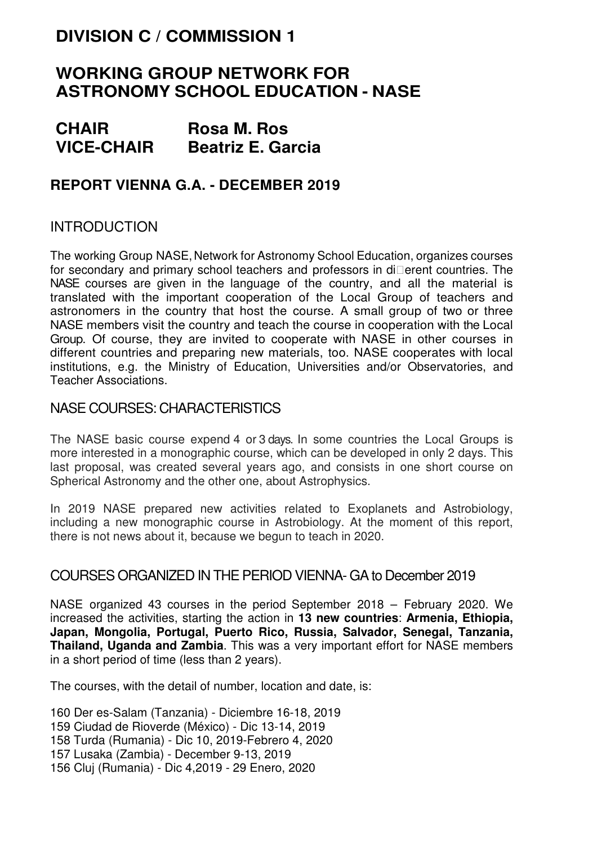# **DIVISION C / COMMISSION 1**

# **WORKING GROUP NETWORK FOR ASTRONOMY SCHOOL EDUCATION - NASE**

| <b>CHAIR</b>      | <b>Rosa M. Ros</b>       |
|-------------------|--------------------------|
| <b>VICE-CHAIR</b> | <b>Beatriz E. Garcia</b> |

# **REPORT VIENNA G.A. - DECEMBER 2019**

# INTRODUCTION

The working Group NASE, Network for Astronomy School Education, organizes courses for secondary and primary school teachers and professors in dierent countries. The NASE courses are given in the language of the country, and all the material is translated with the important cooperation of the Local Group of teachers and astronomers in the country that host the course. A small group of two or three NASE members visit the country and teach the course in cooperation with the Local Group. Of course, they are invited to cooperate with NASE in other courses in different countries and preparing new materials, too. NASE cooperates with local institutions, e.g. the Ministry of Education, Universities and/or Observatories, and Teacher Associations.

#### NASE COURSES: CHARACTERISTICS

The NASE basic course expend 4 or 3 days. In some countries the Local Groups is more interested in a monographic course, which can be developed in only 2 days. This last proposal, was created several years ago, and consists in one short course on Spherical Astronomy and the other one, about Astrophysics.

In 2019 NASE prepared new activities related to Exoplanets and Astrobiology, including a new monographic course in Astrobiology. At the moment of this report, there is not news about it, because we begun to teach in 2020.

### COURSES ORGANIZED IN THE PERIOD VIENNA- GA to December 2019

NASE organized 43 courses in the period September 2018 – February 2020. We increased the activities, starting the action in **13 new countries**: **Armenia, Ethiopia, Japan, Mongolia, Portugal, Puerto Rico, Russia, Salvador, Senegal, Tanzania, Thailand, Uganda and Zambia**. This was a very important effort for NASE members in a short period of time (less than 2 years).

The courses, with the detail of number, location and date, is:

160 Der es-Salam (Tanzania) - Diciembre 16-18, 2019 159 Ciudad de Rioverde (México) - Dic 13-14, 2019 158 Turda (Rumania) - Dic 10, 2019-Febrero 4, 2020 157 Lusaka (Zambia) - December 9-13, 2019 156 Cluj (Rumania) - Dic 4,2019 - 29 Enero, 2020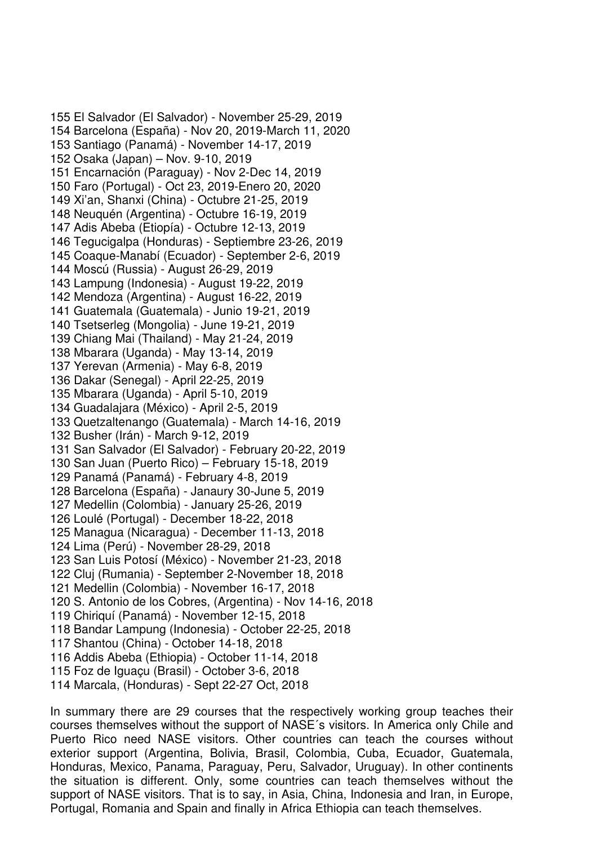155 El Salvador (El Salvador) - November 25-29, 2019 154 Barcelona (España) - Nov 20, 2019-March 11, 2020 153 Santiago (Panamá) - November 14-17, 2019 152 Osaka (Japan) – Nov. 9-10, 2019 151 Encarnación (Paraguay) - Nov 2-Dec 14, 2019 150 Faro (Portugal) - Oct 23, 2019-Enero 20, 2020 149 Xi'an, Shanxi (China) - Octubre 21-25, 2019 148 Neuquén (Argentina) - Octubre 16-19, 2019 147 Adis Abeba (Etiopía) - Octubre 12-13, 2019 146 Tegucigalpa (Honduras) - Septiembre 23-26, 2019 145 Coaque-Manabí (Ecuador) - September 2-6, 2019 144 Moscú (Russia) - August 26-29, 2019 143 Lampung (Indonesia) - August 19-22, 2019 142 Mendoza (Argentina) - August 16-22, 2019 141 Guatemala (Guatemala) - Junio 19-21, 2019 140 Tsetserleg (Mongolia) - June 19-21, 2019 139 Chiang Mai (Thailand) - May 21-24, 2019 138 Mbarara (Uganda) - May 13-14, 2019 137 Yerevan (Armenia) - May 6-8, 2019 136 Dakar (Senegal) - April 22-25, 2019 135 Mbarara (Uganda) - April 5-10, 2019 134 Guadalajara (México) - April 2-5, 2019 133 Quetzaltenango (Guatemala) - March 14-16, 2019 132 Busher (Irán) - March 9-12, 2019 131 San Salvador (El Salvador) - February 20-22, 2019 130 San Juan (Puerto Rico) – February 15-18, 2019 129 Panamá (Panamá) - February 4-8, 2019 128 Barcelona (España) - Janaury 30-June 5, 2019 127 Medellin (Colombia) - January 25-26, 2019 126 Loulé (Portugal) - December 18-22, 2018 125 Managua (Nicaragua) - December 11-13, 2018 124 Lima (Perú) - November 28-29, 2018 123 San Luis Potosí (México) - November 21-23, 2018 122 Cluj (Rumania) - September 2-November 18, 2018 121 Medellin (Colombia) - November 16-17, 2018 120 S. Antonio de los Cobres, (Argentina) - Nov 14-16, 2018 119 Chiriquí (Panamá) - November 12-15, 2018 118 Bandar Lampung (Indonesia) - October 22-25, 2018 117 Shantou (China) - October 14-18, 2018 116 Addis Abeba (Ethiopia) - October 11-14, 2018 115 Foz de Iguaçu (Brasil) - October 3-6, 2018 114 Marcala, (Honduras) - Sept 22-27 Oct, 2018

In summary there are 29 courses that the respectively working group teaches their courses themselves without the support of NASE´s visitors. In America only Chile and Puerto Rico need NASE visitors. Other countries can teach the courses without exterior support (Argentina, Bolivia, Brasil, Colombia, Cuba, Ecuador, Guatemala, Honduras, Mexico, Panama, Paraguay, Peru, Salvador, Uruguay). In other continents the situation is different. Only, some countries can teach themselves without the support of NASE visitors. That is to say, in Asia, China, Indonesia and Iran, in Europe, Portugal, Romania and Spain and finally in Africa Ethiopia can teach themselves.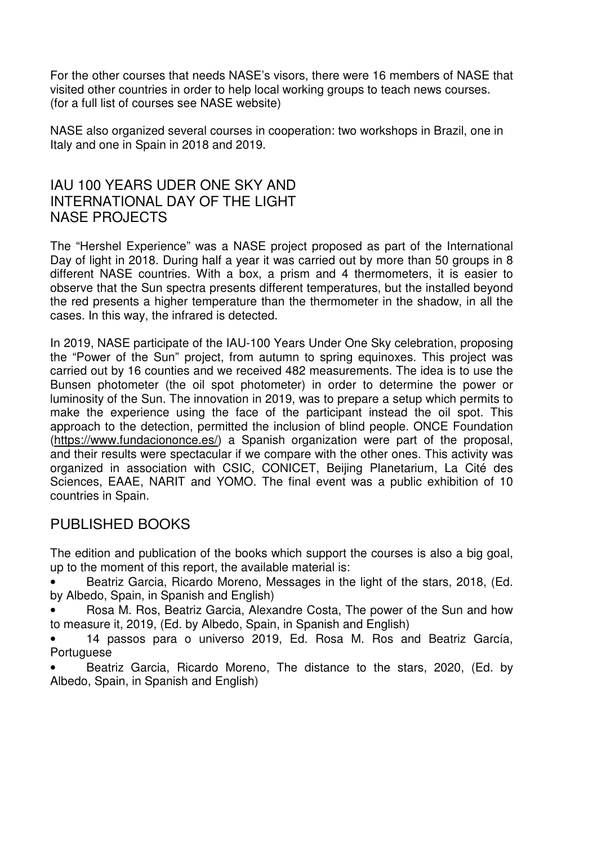For the other courses that needs NASE's visors, there were 16 members of NASE that visited other countries in order to help local working groups to teach news courses. (for a full list of courses see NASE website)

NASE also organized several courses in cooperation: two workshops in Brazil, one in Italy and one in Spain in 2018 and 2019.

# IAU 100 YEARS UDER ONE SKY AND INTERNATIONAL DAY OF THE LIGHT NASE PROJECTS

The "Hershel Experience" was a NASE project proposed as part of the International Day of light in 2018. During half a year it was carried out by more than 50 groups in 8 different NASE countries. With a box, a prism and 4 thermometers, it is easier to observe that the Sun spectra presents different temperatures, but the installed beyond the red presents a higher temperature than the thermometer in the shadow, in all the cases. In this way, the infrared is detected.

In 2019, NASE participate of the IAU-100 Years Under One Sky celebration, proposing the "Power of the Sun" project, from autumn to spring equinoxes. This project was carried out by 16 counties and we received 482 measurements. The idea is to use the Bunsen photometer (the oil spot photometer) in order to determine the power or luminosity of the Sun. The innovation in 2019, was to prepare a setup which permits to make the experience using the face of the participant instead the oil spot. This approach to the detection, permitted the inclusion of blind people. ONCE Foundation (https://www.fundaciononce.es/) a Spanish organization were part of the proposal, and their results were spectacular if we compare with the other ones. This activity was organized in association with CSIC, CONICET, Beijing Planetarium, La Cité des Sciences, EAAE, NARIT and YOMO. The final event was a public exhibition of 10 countries in Spain.

### PUBLISHED BOOKS

The edition and publication of the books which support the courses is also a big goal, up to the moment of this report, the available material is:

• Beatriz Garcia, Ricardo Moreno, Messages in the light of the stars, 2018, (Ed. by Albedo, Spain, in Spanish and English)

• Rosa M. Ros, Beatriz Garcia, Alexandre Costa, The power of the Sun and how to measure it, 2019, (Ed. by Albedo, Spain, in Spanish and English)

• 14 passos para o universo 2019, Ed. Rosa M. Ros and Beatriz García, Portuguese

• Beatriz Garcia, Ricardo Moreno, The distance to the stars, 2020, (Ed. by Albedo, Spain, in Spanish and English)